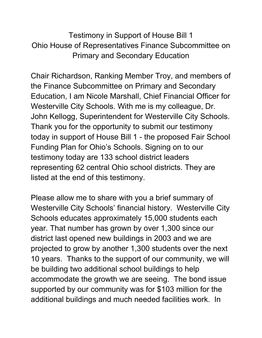Testimony in Support of House Bill 1 Ohio House of Representatives Finance Subcommittee on Primary and Secondary Education

Chair Richardson, Ranking Member Troy, and members of the Finance Subcommittee on Primary and Secondary Education, I am Nicole Marshall, Chief Financial Officer for Westerville City Schools. With me is my colleague, Dr. John Kellogg, Superintendent for Westerville City Schools. Thank you for the opportunity to submit our testimony today in support of House Bill 1 - the proposed Fair School Funding Plan for Ohio's Schools. Signing on to our testimony today are 133 school district leaders representing 62 central Ohio school districts. They are listed at the end of this testimony.

Please allow me to share with you a brief summary of Westerville City Schools' financial history. Westerville City Schools educates approximately 15,000 students each year. That number has grown by over 1,300 since our district last opened new buildings in 2003 and we are projected to grow by another 1,300 students over the next 10 years. Thanks to the support of our community, we will be building two additional school buildings to help accommodate the growth we are seeing. The bond issue supported by our community was for \$103 million for the additional buildings and much needed facilities work. In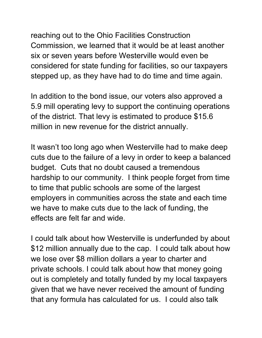reaching out to the Ohio Facilities Construction Commission, we learned that it would be at least another six or seven years before Westerville would even be considered for state funding for facilities, so our taxpayers stepped up, as they have had to do time and time again.

In addition to the bond issue, our voters also approved a 5.9 mill operating levy to support the continuing operations of the district. That levy is estimated to produce \$15.6 million in new revenue for the district annually.

It wasn't too long ago when Westerville had to make deep cuts due to the failure of a levy in order to keep a balanced budget. Cuts that no doubt caused a tremendous hardship to our community. I think people forget from time to time that public schools are some of the largest employers in communities across the state and each time we have to make cuts due to the lack of funding, the effects are felt far and wide.

I could talk about how Westerville is underfunded by about \$12 million annually due to the cap. I could talk about how we lose over \$8 million dollars a year to charter and private schools. I could talk about how that money going out is completely and totally funded by my local taxpayers given that we have never received the amount of funding that any formula has calculated for us. I could also talk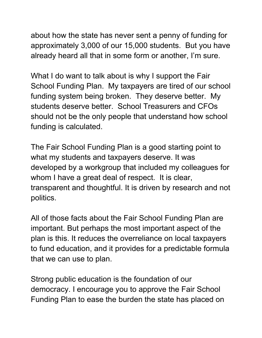about how the state has never sent a penny of funding for approximately 3,000 of our 15,000 students. But you have already heard all that in some form or another, I'm sure.

What I do want to talk about is why I support the Fair School Funding Plan. My taxpayers are tired of our school funding system being broken. They deserve better. My students deserve better. School Treasurers and CFOs should not be the only people that understand how school funding is calculated.

The Fair School Funding Plan is a good starting point to what my students and taxpayers deserve. It was developed by a workgroup that included my colleagues for whom I have a great deal of respect. It is clear, transparent and thoughtful. It is driven by research and not politics.

All of those facts about the Fair School Funding Plan are important. But perhaps the most important aspect of the plan is this. It reduces the overreliance on local taxpayers to fund education, and it provides for a predictable formula that we can use to plan.

Strong public education is the foundation of our democracy. I encourage you to approve the Fair School Funding Plan to ease the burden the state has placed on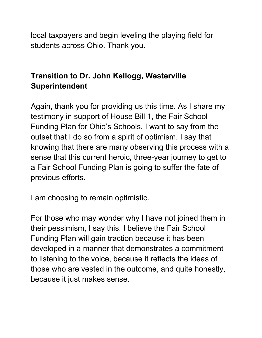local taxpayers and begin leveling the playing field for students across Ohio. Thank you.

## **Transition to Dr. John Kellogg, Westerville Superintendent**

Again, thank you for providing us this time. As I share my testimony in support of House Bill 1, the Fair School Funding Plan for Ohio's Schools, I want to say from the outset that I do so from a spirit of optimism. I say that knowing that there are many observing this process with a sense that this current heroic, three-year journey to get to a Fair School Funding Plan is going to suffer the fate of previous efforts.

I am choosing to remain optimistic.

For those who may wonder why I have not joined them in their pessimism, I say this. I believe the Fair School Funding Plan will gain traction because it has been developed in a manner that demonstrates a commitment to listening to the voice, because it reflects the ideas of those who are vested in the outcome, and quite honestly, because it just makes sense.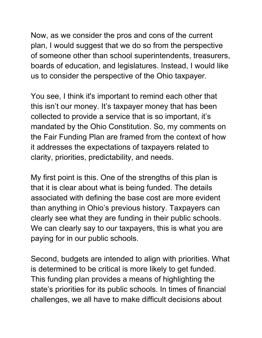Now, as we consider the pros and cons of the current plan, I would suggest that we do so from the perspective of someone other than school superintendents, treasurers, boards of education, and legislatures. Instead, I would like us to consider the perspective of the Ohio taxpayer.

You see, I think it's important to remind each other that this isn't our money. It's taxpayer money that has been collected to provide a service that is so important, it's mandated by the Ohio Constitution. So, my comments on the Fair Funding Plan are framed from the context of how it addresses the expectations of taxpayers related to clarity, priorities, predictability, and needs.

My first point is this. One of the strengths of this plan is that it is clear about what is being funded. The details associated with defining the base cost are more evident than anything in Ohio's previous history. Taxpayers can clearly see what they are funding in their public schools. We can clearly say to our taxpayers, this is what you are paying for in our public schools.

Second, budgets are intended to align with priorities. What is determined to be critical is more likely to get funded. This funding plan provides a means of highlighting the state's priorities for its public schools. In times of financial challenges, we all have to make difficult decisions about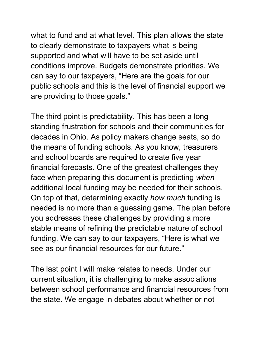what to fund and at what level. This plan allows the state to clearly demonstrate to taxpayers what is being supported and what will have to be set aside until conditions improve. Budgets demonstrate priorities. We can say to our taxpayers, "Here are the goals for our public schools and this is the level of financial support we are providing to those goals."

The third point is predictability. This has been a long standing frustration for schools and their communities for decades in Ohio. As policy makers change seats, so do the means of funding schools. As you know, treasurers and school boards are required to create five year financial forecasts. One of the greatest challenges they face when preparing this document is predicting *when* additional local funding may be needed for their schools. On top of that, determining exactly *how much* funding is needed is no more than a guessing game. The plan before you addresses these challenges by providing a more stable means of refining the predictable nature of school funding. We can say to our taxpayers, "Here is what we see as our financial resources for our future."

The last point I will make relates to needs. Under our current situation, it is challenging to make associations between school performance and financial resources from the state. We engage in debates about whether or not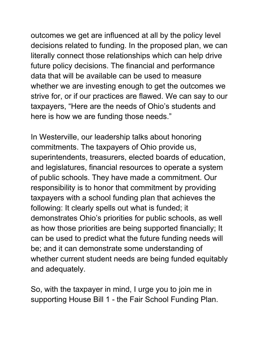outcomes we get are influenced at all by the policy level decisions related to funding. In the proposed plan, we can literally connect those relationships which can help drive future policy decisions. The financial and performance data that will be available can be used to measure whether we are investing enough to get the outcomes we strive for, or if our practices are flawed. We can say to our taxpayers, "Here are the needs of Ohio's students and here is how we are funding those needs."

In Westerville, our leadership talks about honoring commitments. The taxpayers of Ohio provide us, superintendents, treasurers, elected boards of education, and legislatures, financial resources to operate a system of public schools. They have made a commitment. Our responsibility is to honor that commitment by providing taxpayers with a school funding plan that achieves the following: It clearly spells out what is funded; it demonstrates Ohio's priorities for public schools, as well as how those priorities are being supported financially; It can be used to predict what the future funding needs will be; and it can demonstrate some understanding of whether current student needs are being funded equitably and adequately.

So, with the taxpayer in mind, I urge you to join me in supporting House Bill 1 - the Fair School Funding Plan.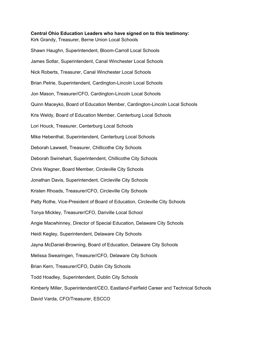**Central Ohio Education Leaders who have signed on to this testimony:**  Kirk Grandy, Treasurer, Berne Union Local Schools Shawn Haughn, Superintendent, Bloom-Carroll Local Schools James Sotlar, Superintendent, Canal Winchester Local Schools Nick Roberts, Treasurer, Canal Winchester Local Schools Brian Petrie, Superintendent, Cardington-Lincoln Local Schools Jon Mason, Treasurer/CFO, Cardington-Lincoln Local Schools Quinn Maceyko, Board of Education Member, Cardington-Lincoln Local Schools Kris Weldy, Board of Education Member, Centerburg Local Schools Lori Houck, Treasurer, Centerburg Local Schools Mike Hebenthal, Superintendent, Centerburg Local Schools Deborah Lawwell, Treasurer, Chillicothe City Schools Deborah Swinehart, Superintendent, Chillicothe City Schools Chris Wagner, Board Member, Circleville City Schools Jonathan Davis, Superintendent, Circleville City Schools Kristen Rhoads, Treasurer/CFO, Circleville City Schools Patty Rothe, Vice-President of Board of Education, Circleville City Schools Tonya Mickley, Treasurer/CFO, Danville Local School Angie Macwhinney, Director of Special Education, Delaware City Schools Heidi Kegley, Superintendent, Delaware City Schools Jayna McDaniel-Browning, Board of Education, Delaware City Schools Melissa Swearingen, Treasurer/CFO, Delaware City Schools Brian Kern, Treasurer/CFO, Dublin City Schools Todd Hoadley, Superintendent, Dublin City Schools Kimberly Miller, Superintendent/CEO, Eastland-Fairfield Career and Technical Schools David Varda, CFO/Treasurer, ESCCO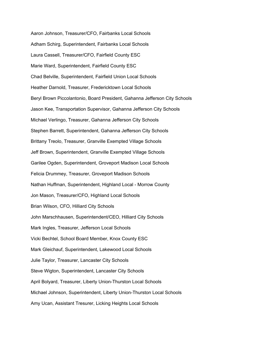Aaron Johnson, Treasurer/CFO, Fairbanks Local Schools Adham Schirg, Superintendent, Fairbanks Local Schools Laura Cassell, Treasurer/CFO, Fairfield County ESC Marie Ward, Superintendent, Fairfield County ESC Chad Belville, Superintendent, Fairfield Union Local Schools Heather Darnold, Treasurer, Fredericktown Local Schools Beryl Brown Piccolantonio, Board President, Gahanna Jefferson City Schools Jason Kee, Transportation Supervisor, Gahanna Jefferson City Schools Michael Verlingo, Treasurer, Gahanna Jefferson City Schools Stephen Barrett, Superintendent, Gahanna Jefferson City Schools Brittany Treolo, Treasurer, Granville Exempted Village Schools Jeff Brown, Superintendent, Granville Exempted Village Schools Garilee Ogden, Superintendent, Groveport Madison Local Schools Felicia Drummey, Treasurer, Groveport Madison Schools Nathan Huffman, Superintendent, Highland Local - Morrow County Jon Mason, Treasurer/CFO, Highland Local Schools Brian Wilson, CFO, Hilliard City Schools John Marschhausen, Superintendent/CEO, Hilliard City Schools Mark Ingles, Treasurer, Jefferson Local Schools Vicki Bechtel, School Board Member, Knox County ESC Mark Gleichauf, Superintendent, Lakewood Local Schools Julie Taylor, Treasurer, Lancaster City Schools Steve Wigton, Superintendent, Lancaster City Schools April Bolyard, Treasurer, Liberty Union-Thurston Local Schools Michael Johnson, Superintendent, Liberty Union-Thurston Local Schools Amy Ucan, Assistant Tresurer, Licking Heights Local Schools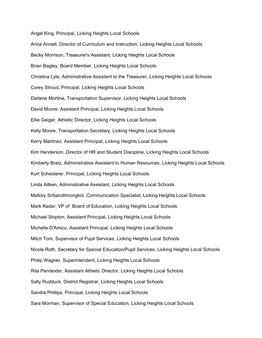Angel King, Principal, Licking Heights Local Schools

Anna Annett, Director of Curriculum and Instruction, Licking Heights Local Schools Becky Morrison, Treasurer's Assistant, Licking Heights Local Schools Brian Bagley, Board Member, Licking Heights Local Schools Christina Lyle, Administrative Assistant to the Treasurer, Licking Heights Local Schools Corey Stroud, Principal, Licking Heights Local Schools Darlene Mortine, Transportation Supervisor, Licking Heights Local Schools David Moore, Assistant Principal, Licking Heights Local Schools Ellie Geiger, Athletic Director, Licking Heights Local Schools Kelly Moore, Transportation Secretary, Licking Heights Local Schools Kerry Martinez, Assistant Principal, Licking Heights Local Schools Kim Henderson, Director of HR and Student Discipline, Licking Heights Local Schools Kimberly Bratz, Administrative Assistant to Human Resources, Licking Heights Local Schools Kurt Scheiderer, Principal, Licking Heights Local Schools Linda Aitken, Administrative Assistant, Licking Heights Local Schools Mallory Sribanditmongkol, Communication Specialist, Licking Heights Local Schools Mark Rader, VP of Board of Education, Licking Heights Local Schools Michael Shipton, Assistant Principal, Licking Heights Local Schools Michelle D'Amico, Assistant Principal, Licking Heights Local Schools Mitch Tom, Supervisor of Pupil Services, Licking Heights Local Schools Nicole Roth, Secretary for Special Education/Pupil Services, Licking Heights Local Schools Philip Wagner, Superintendent, Licking Heights Local Schools Rita Pendexter, Assistant Athletic Director, Licking Heights Local Schools Sally Rudduck, District Registrar, Licking Heights Local Schools Sandra Phillips, Principal, Licking Heights Local Schools Sara Morman, Supervisor of Special Education, Licking Heights Local Schools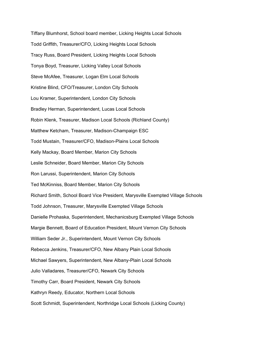Tiffany Blumhorst, School board member, Licking Heights Local Schools Todd Griffith, Treasurer/CFO, Licking Heights Local Schools Tracy Russ, Board President, Licking Heights Local Schools Tonya Boyd, Treasurer, Licking Valley Local Schools Steve McAfee, Treasurer, Logan Elm Local Schools Kristine Blind, CFO/Treasurer, London City Schools Lou Kramer, Superintendent, London City Schools Bradley Herman, Superintendent, Lucas Local Schools Robin Klenk, Treasurer, Madison Local Schools (Richland County) Matthew Ketcham, Treasurer, Madison-Champaign ESC Todd Mustain, Treasurer/CFO, Madison-Plains Local Schools Kelly Mackay, Board Member, Marion City Schools Leslie Schneider, Board Member, Marion City Schools Ron Larussi, Superintendent, Marion City Schools Ted McKinniss, Board Member, Marion City Schools Richard Smith, School Board Vice President, Marysville Exempted Village Schools Todd Johnson, Treasurer, Marysville Exempted Village Schools Danielle Prohaska, Superintendent, Mechanicsburg Exempted Village Schools Margie Bennett, Board of Education President, Mount Vernon City Schools William Seder Jr., Superintendent, Mount Vernon City Schools Rebecca Jenkins, Treasurer/CFO, New Albany Plain Local Schools Michael Sawyers, Superintendent, New Albany-Plain Local Schools Julio Valladares, Treasurer/CFO, Newark City Schools Timothy Carr, Board President, Newark City Schools Kathryn Reedy, Educator, Northern Local Schools Scott Schmidt, Superintendent, Northridge Local Schools (Licking County)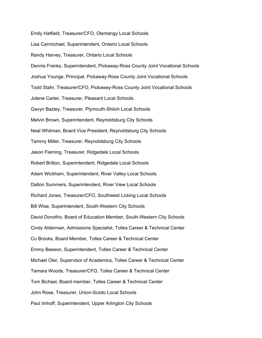Emily Hatfield, Treasurer/CFO, Olentangy Local Schools Lisa Carmichael, Superintendent, Ontario Local Schools Randy Harvey, Treasurer, Ontario Local Schools Dennis Franks, Superintendent, Pickaway-Ross County Joint Vocational Schools Joshua Younge, Principal, Pickaway-Ross County Joint Vocational Schools Todd Stahr, Treasurer/CFO, Pickaway-Ross County Joint Vocational Schools Jolene Carter, Treasurer, Pleasant Local Schools Gavyn Bazley, Treasurer, Plymouth-Shiloh Local Schools Melvin Brown, Superintendent, Reynoldsburg City Schools Neal Whitman, Board Vice President, Reynoldsburg City Schools Tammy Miller, Treasurer, Reynoldsburg City Schools Jason Fleming, Treasurer, Ridgedale Local Schools Robert Britton, Superintendent, Ridgedale Local Schools Adam Wickham, Superintendent, River Valley Local Schools Dalton Summers, Superintendent, River View Local Schools Richard Jones, Treasurer/CFO, Southwest Licking Local Schools Bill Wise, Superintendent, South-Western City Schools David Donofrio, Board of Education Member, South-Western City Schools Cindy Alderman, Admissions Specialist, Tolles Career & Technical Center Cu Brooks, Board Member, Tolles Career & Technical Center Emmy Beeson, Superintendent, Tolles Career & Technical Center Michael Oler, Supervisor of Academics, Tolles Career & Technical Center Tamara Woods, Treasurer/CFO, Tolles Career & Technical Center Tom Bichsel, Board member, Tolles Career & Technical Center John Rose, Treasurer, Union-Scioto Local Schools Paul Imhoff, Superintendent, Upper Arlington City Schools